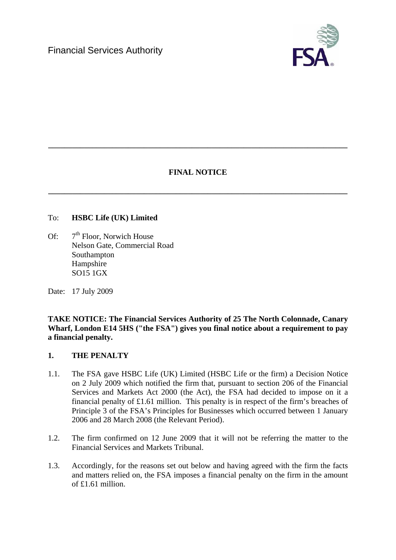

# **FINAL NOTICE**

**\_\_\_\_\_\_\_\_\_\_\_\_\_\_\_\_\_\_\_\_\_\_\_\_\_\_\_\_\_\_\_\_\_\_\_\_\_\_\_\_\_\_\_\_\_\_\_\_\_\_\_\_\_\_\_\_\_\_\_\_\_\_\_\_\_\_\_\_\_\_\_\_\_\_\_** 

**\_\_\_\_\_\_\_\_\_\_\_\_\_\_\_\_\_\_\_\_\_\_\_\_\_\_\_\_\_\_\_\_\_\_\_\_\_\_\_\_\_\_\_\_\_\_\_\_\_\_\_\_\_\_\_\_\_\_\_\_\_\_\_\_\_\_\_\_\_\_\_\_\_\_\_** 

### To: **HSBC Life (UK) Limited**

Of:  $7<sup>th</sup>$  Floor, Norwich House Nelson Gate, Commercial Road Southampton Hampshire SO15 1GX

Date: 17 July 2009

**TAKE NOTICE: The Financial Services Authority of 25 The North Colonnade, Canary Wharf, London E14 5HS ("the FSA") gives you final notice about a requirement to pay a financial penalty.** 

# **1. THE PENALTY**

- 1.1. The FSA gave HSBC Life (UK) Limited (HSBC Life or the firm) a Decision Notice on 2 July 2009 which notified the firm that, pursuant to section 206 of the Financial Services and Markets Act 2000 (the Act), the FSA had decided to impose on it a financial penalty of £1.61 million. This penalty is in respect of the firm's breaches of Principle 3 of the FSA's Principles for Businesses which occurred between 1 January 2006 and 28 March 2008 (the Relevant Period).
- 1.2. The firm confirmed on 12 June 2009 that it will not be referring the matter to the Financial Services and Markets Tribunal.
- 1.3. Accordingly, for the reasons set out below and having agreed with the firm the facts and matters relied on, the FSA imposes a financial penalty on the firm in the amount of £1.61 million.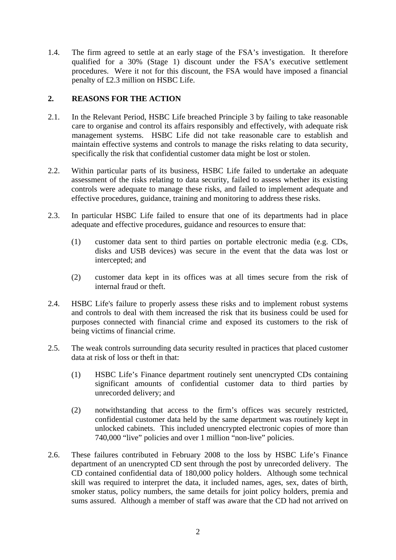1.4. The firm agreed to settle at an early stage of the FSA's investigation. It therefore qualified for a 30% (Stage 1) discount under the FSA's executive settlement procedures. Were it not for this discount, the FSA would have imposed a financial penalty of £2.3 million on HSBC Life.

# **2. REASONS FOR THE ACTION**

- 2.1. In the Relevant Period, HSBC Life breached Principle 3 by failing to take reasonable care to organise and control its affairs responsibly and effectively, with adequate risk management systems. HSBC Life did not take reasonable care to establish and maintain effective systems and controls to manage the risks relating to data security, specifically the risk that confidential customer data might be lost or stolen.
- 2.2. Within particular parts of its business, HSBC Life failed to undertake an adequate assessment of the risks relating to data security, failed to assess whether its existing controls were adequate to manage these risks, and failed to implement adequate and effective procedures, guidance, training and monitoring to address these risks.
- 2.3. In particular HSBC Life failed to ensure that one of its departments had in place adequate and effective procedures, guidance and resources to ensure that:
	- (1) customer data sent to third parties on portable electronic media (e.g. CDs, disks and USB devices) was secure in the event that the data was lost or intercepted; and
	- (2) customer data kept in its offices was at all times secure from the risk of internal fraud or theft.
- 2.4. HSBC Life's failure to properly assess these risks and to implement robust systems and controls to deal with them increased the risk that its business could be used for purposes connected with financial crime and exposed its customers to the risk of being victims of financial crime.
- 2.5. The weak controls surrounding data security resulted in practices that placed customer data at risk of loss or theft in that:
	- (1) HSBC Life's Finance department routinely sent unencrypted CDs containing significant amounts of confidential customer data to third parties by unrecorded delivery; and
	- (2) notwithstanding that access to the firm's offices was securely restricted, confidential customer data held by the same department was routinely kept in unlocked cabinets. This included unencrypted electronic copies of more than 740,000 "live" policies and over 1 million "non-live" policies.
- 2.6. These failures contributed in February 2008 to the loss by HSBC Life's Finance department of an unencrypted CD sent through the post by unrecorded delivery. The CD contained confidential data of 180,000 policy holders. Although some technical skill was required to interpret the data, it included names, ages, sex, dates of birth, smoker status, policy numbers, the same details for joint policy holders, premia and sums assured. Although a member of staff was aware that the CD had not arrived on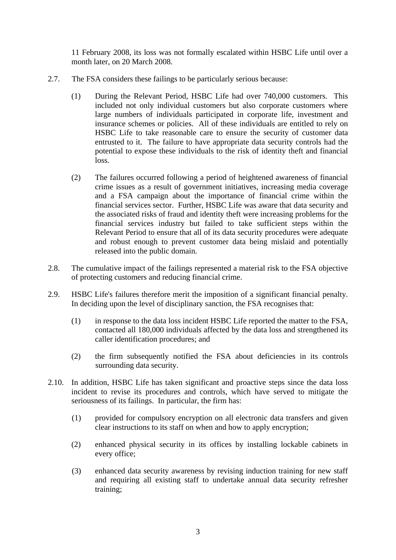11 February 2008, its loss was not formally escalated within HSBC Life until over a month later, on 20 March 2008.

- 2.7. The FSA considers these failings to be particularly serious because:
	- (1) During the Relevant Period, HSBC Life had over 740,000 customers. This included not only individual customers but also corporate customers where large numbers of individuals participated in corporate life, investment and insurance schemes or policies. All of these individuals are entitled to rely on HSBC Life to take reasonable care to ensure the security of customer data entrusted to it. The failure to have appropriate data security controls had the potential to expose these individuals to the risk of identity theft and financial loss.
	- (2) The failures occurred following a period of heightened awareness of financial crime issues as a result of government initiatives, increasing media coverage and a FSA campaign about the importance of financial crime within the financial services sector. Further, HSBC Life was aware that data security and the associated risks of fraud and identity theft were increasing problems for the financial services industry but failed to take sufficient steps within the Relevant Period to ensure that all of its data security procedures were adequate and robust enough to prevent customer data being mislaid and potentially released into the public domain.
- 2.8. The cumulative impact of the failings represented a material risk to the FSA objective of protecting customers and reducing financial crime.
- 2.9. HSBC Life's failures therefore merit the imposition of a significant financial penalty. In deciding upon the level of disciplinary sanction, the FSA recognises that:
	- (1) in response to the data loss incident HSBC Life reported the matter to the FSA, contacted all 180,000 individuals affected by the data loss and strengthened its caller identification procedures; and
	- (2) the firm subsequently notified the FSA about deficiencies in its controls surrounding data security.
- 2.10. In addition, HSBC Life has taken significant and proactive steps since the data loss incident to revise its procedures and controls, which have served to mitigate the seriousness of its failings. In particular, the firm has:
	- (1) provided for compulsory encryption on all electronic data transfers and given clear instructions to its staff on when and how to apply encryption;
	- (2) enhanced physical security in its offices by installing lockable cabinets in every office;
	- (3) enhanced data security awareness by revising induction training for new staff and requiring all existing staff to undertake annual data security refresher training;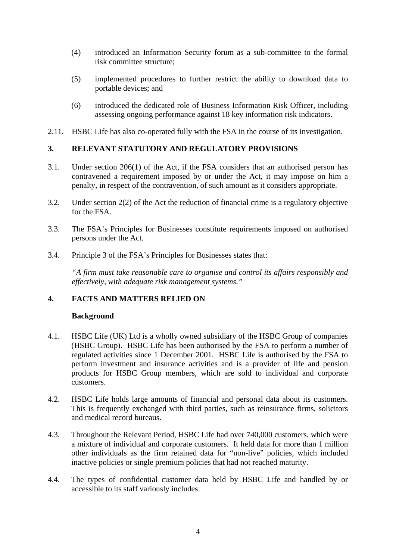- (4) introduced an Information Security forum as a sub-committee to the formal risk committee structure;
- (5) implemented procedures to further restrict the ability to download data to portable devices; and
- (6) introduced the dedicated role of Business Information Risk Officer, including assessing ongoing performance against 18 key information risk indicators.
- 2.11. HSBC Life has also co-operated fully with the FSA in the course of its investigation.

# **3. RELEVANT STATUTORY AND REGULATORY PROVISIONS**

- 3.1. Under section 206(1) of the Act, if the FSA considers that an authorised person has contravened a requirement imposed by or under the Act, it may impose on him a penalty, in respect of the contravention, of such amount as it considers appropriate.
- 3.2. Under section 2(2) of the Act the reduction of financial crime is a regulatory objective for the FSA.
- 3.3. The FSA's Principles for Businesses constitute requirements imposed on authorised persons under the Act.
- 3.4. Principle 3 of the FSA's Principles for Businesses states that:

*"A firm must take reasonable care to organise and control its affairs responsibly and effectively, with adequate risk management systems."* 

# **4. FACTS AND MATTERS RELIED ON**

#### **Background**

- 4.1. HSBC Life (UK) Ltd is a wholly owned subsidiary of the HSBC Group of companies (HSBC Group). HSBC Life has been authorised by the FSA to perform a number of regulated activities since 1 December 2001. HSBC Life is authorised by the FSA to perform investment and insurance activities and is a provider of life and pension products for HSBC Group members, which are sold to individual and corporate customers.
- 4.2. HSBC Life holds large amounts of financial and personal data about its customers. This is frequently exchanged with third parties, such as reinsurance firms, solicitors and medical record bureaus.
- 4.3. Throughout the Relevant Period, HSBC Life had over 740,000 customers, which were a mixture of individual and corporate customers. It held data for more than 1 million other individuals as the firm retained data for "non-live" policies, which included inactive policies or single premium policies that had not reached maturity.
- 4.4. The types of confidential customer data held by HSBC Life and handled by or accessible to its staff variously includes: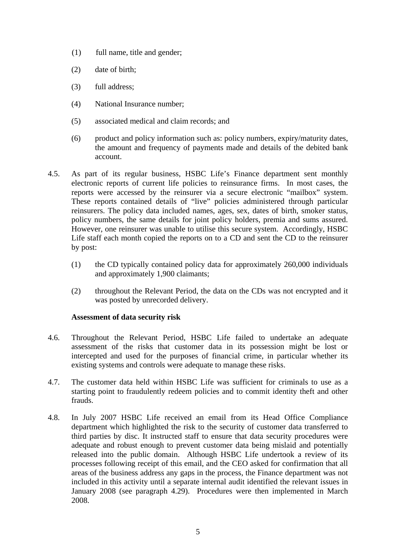- (1) full name, title and gender;
- (2) date of birth;
- (3) full address;
- (4) National Insurance number;
- (5) associated medical and claim records; and
- (6) product and policy information such as: policy numbers, expiry/maturity dates, the amount and frequency of payments made and details of the debited bank account.
- 4.5. As part of its regular business, HSBC Life's Finance department sent monthly electronic reports of current life policies to reinsurance firms. In most cases, the reports were accessed by the reinsurer via a secure electronic "mailbox" system. These reports contained details of "live" policies administered through particular reinsurers. The policy data included names, ages, sex, dates of birth, smoker status, policy numbers, the same details for joint policy holders, premia and sums assured. However, one reinsurer was unable to utilise this secure system. Accordingly, HSBC Life staff each month copied the reports on to a CD and sent the CD to the reinsurer by post:
	- (1) the CD typically contained policy data for approximately 260,000 individuals and approximately 1,900 claimants;
	- (2) throughout the Relevant Period, the data on the CDs was not encrypted and it was posted by unrecorded delivery.

#### **Assessment of data security risk**

- 4.6. Throughout the Relevant Period, HSBC Life failed to undertake an adequate assessment of the risks that customer data in its possession might be lost or intercepted and used for the purposes of financial crime, in particular whether its existing systems and controls were adequate to manage these risks.
- 4.7. The customer data held within HSBC Life was sufficient for criminals to use as a starting point to fraudulently redeem policies and to commit identity theft and other frauds.
- 4.8. In July 2007 HSBC Life received an email from its Head Office Compliance department which highlighted the risk to the security of customer data transferred to third parties by disc. It instructed staff to ensure that data security procedures were adequate and robust enough to prevent customer data being mislaid and potentially released into the public domain. Although HSBC Life undertook a review of its processes following receipt of this email, and the CEO asked for confirmation that all areas of the business address any gaps in the process, the Finance department was not included in this activity until a separate internal audit identified the relevant issues in January 2008 (see paragraph 4.29). Procedures were then implemented in March 2008.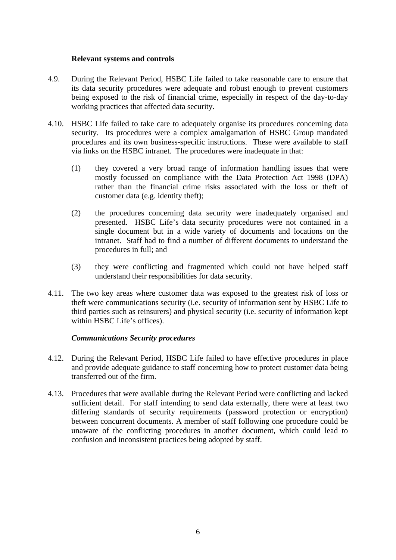#### **Relevant systems and controls**

- 4.9. During the Relevant Period, HSBC Life failed to take reasonable care to ensure that its data security procedures were adequate and robust enough to prevent customers being exposed to the risk of financial crime, especially in respect of the day-to-day working practices that affected data security.
- 4.10. HSBC Life failed to take care to adequately organise its procedures concerning data security. Its procedures were a complex amalgamation of HSBC Group mandated procedures and its own business-specific instructions. These were available to staff via links on the HSBC intranet. The procedures were inadequate in that:
	- (1) they covered a very broad range of information handling issues that were mostly focussed on compliance with the Data Protection Act 1998 (DPA) rather than the financial crime risks associated with the loss or theft of customer data (e.g. identity theft);
	- (2) the procedures concerning data security were inadequately organised and presented. HSBC Life's data security procedures were not contained in a single document but in a wide variety of documents and locations on the intranet. Staff had to find a number of different documents to understand the procedures in full; and
	- (3) they were conflicting and fragmented which could not have helped staff understand their responsibilities for data security.
- 4.11. The two key areas where customer data was exposed to the greatest risk of loss or theft were communications security (i.e. security of information sent by HSBC Life to third parties such as reinsurers) and physical security (i.e. security of information kept within HSBC Life's offices).

#### *Communications Security procedures*

- 4.12. During the Relevant Period, HSBC Life failed to have effective procedures in place and provide adequate guidance to staff concerning how to protect customer data being transferred out of the firm.
- 4.13. Procedures that were available during the Relevant Period were conflicting and lacked sufficient detail. For staff intending to send data externally, there were at least two differing standards of security requirements (password protection or encryption) between concurrent documents. A member of staff following one procedure could be unaware of the conflicting procedures in another document, which could lead to confusion and inconsistent practices being adopted by staff.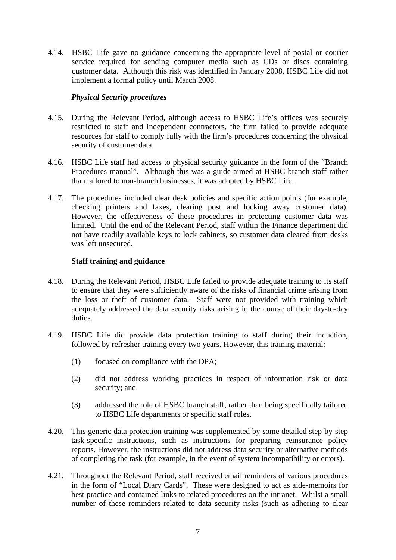4.14. HSBC Life gave no guidance concerning the appropriate level of postal or courier service required for sending computer media such as CDs or discs containing customer data. Although this risk was identified in January 2008, HSBC Life did not implement a formal policy until March 2008.

### *Physical Security procedures*

- 4.15. During the Relevant Period, although access to HSBC Life's offices was securely restricted to staff and independent contractors, the firm failed to provide adequate resources for staff to comply fully with the firm's procedures concerning the physical security of customer data.
- 4.16. HSBC Life staff had access to physical security guidance in the form of the "Branch Procedures manual". Although this was a guide aimed at HSBC branch staff rather than tailored to non-branch businesses, it was adopted by HSBC Life.
- 4.17. The procedures included clear desk policies and specific action points (for example, checking printers and faxes, clearing post and locking away customer data). However, the effectiveness of these procedures in protecting customer data was limited. Until the end of the Relevant Period, staff within the Finance department did not have readily available keys to lock cabinets, so customer data cleared from desks was left unsecured.

### **Staff training and guidance**

- 4.18. During the Relevant Period, HSBC Life failed to provide adequate training to its staff to ensure that they were sufficiently aware of the risks of financial crime arising from the loss or theft of customer data. Staff were not provided with training which adequately addressed the data security risks arising in the course of their day-to-day duties.
- 4.19. HSBC Life did provide data protection training to staff during their induction, followed by refresher training every two years. However, this training material:
	- (1) focused on compliance with the DPA;
	- (2) did not address working practices in respect of information risk or data security; and
	- (3) addressed the role of HSBC branch staff, rather than being specifically tailored to HSBC Life departments or specific staff roles.
- 4.20. This generic data protection training was supplemented by some detailed step-by-step task-specific instructions, such as instructions for preparing reinsurance policy reports. However, the instructions did not address data security or alternative methods of completing the task (for example, in the event of system incompatibility or errors).
- 4.21. Throughout the Relevant Period, staff received email reminders of various procedures in the form of "Local Diary Cards". These were designed to act as aide-memoirs for best practice and contained links to related procedures on the intranet. Whilst a small number of these reminders related to data security risks (such as adhering to clear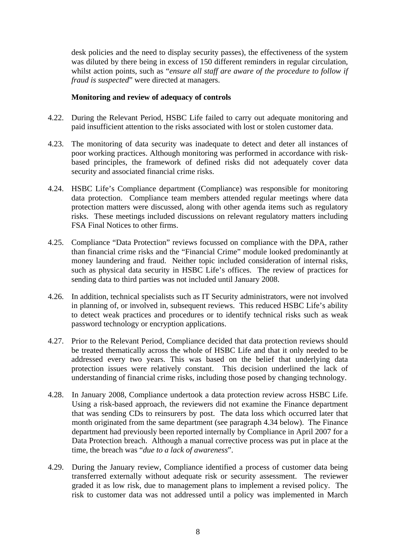desk policies and the need to display security passes), the effectiveness of the system was diluted by there being in excess of 150 different reminders in regular circulation, whilst action points, such as "*ensure all staff are aware of the procedure to follow if fraud is suspected*" were directed at managers.

#### **Monitoring and review of adequacy of controls**

- 4.22. During the Relevant Period, HSBC Life failed to carry out adequate monitoring and paid insufficient attention to the risks associated with lost or stolen customer data.
- 4.23. The monitoring of data security was inadequate to detect and deter all instances of poor working practices. Although monitoring was performed in accordance with riskbased principles, the framework of defined risks did not adequately cover data security and associated financial crime risks.
- 4.24. HSBC Life's Compliance department (Compliance) was responsible for monitoring data protection. Compliance team members attended regular meetings where data protection matters were discussed, along with other agenda items such as regulatory risks. These meetings included discussions on relevant regulatory matters including FSA Final Notices to other firms.
- 4.25. Compliance "Data Protection" reviews focussed on compliance with the DPA, rather than financial crime risks and the "Financial Crime" module looked predominantly at money laundering and fraud. Neither topic included consideration of internal risks, such as physical data security in HSBC Life's offices. The review of practices for sending data to third parties was not included until January 2008.
- 4.26. In addition, technical specialists such as IT Security administrators, were not involved in planning of, or involved in, subsequent reviews. This reduced HSBC Life's ability to detect weak practices and procedures or to identify technical risks such as weak password technology or encryption applications.
- 4.27. Prior to the Relevant Period, Compliance decided that data protection reviews should be treated thematically across the whole of HSBC Life and that it only needed to be addressed every two years. This was based on the belief that underlying data protection issues were relatively constant. This decision underlined the lack of understanding of financial crime risks, including those posed by changing technology.
- 4.28. In January 2008, Compliance undertook a data protection review across HSBC Life. Using a risk-based approach, the reviewers did not examine the Finance department that was sending CDs to reinsurers by post. The data loss which occurred later that month originated from the same department (see paragraph 4.34 below). The Finance department had previously been reported internally by Compliance in April 2007 for a Data Protection breach. Although a manual corrective process was put in place at the time, the breach was "*due to a lack of awareness*".
- 4.29. During the January review, Compliance identified a process of customer data being transferred externally without adequate risk or security assessment. The reviewer graded it as low risk, due to management plans to implement a revised policy. The risk to customer data was not addressed until a policy was implemented in March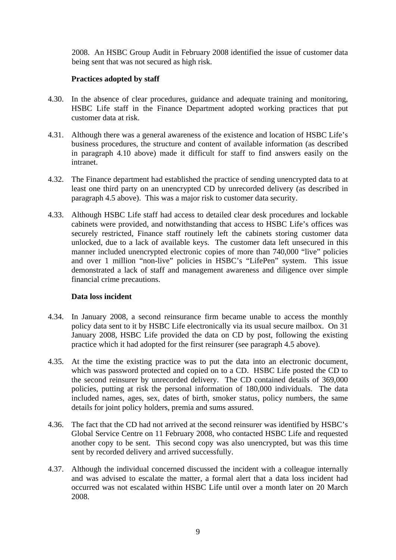2008. An HSBC Group Audit in February 2008 identified the issue of customer data being sent that was not secured as high risk.

#### **Practices adopted by staff**

- 4.30. In the absence of clear procedures, guidance and adequate training and monitoring, HSBC Life staff in the Finance Department adopted working practices that put customer data at risk.
- 4.31. Although there was a general awareness of the existence and location of HSBC Life's business procedures, the structure and content of available information (as described in paragraph 4.10 above) made it difficult for staff to find answers easily on the intranet.
- 4.32. The Finance department had established the practice of sending unencrypted data to at least one third party on an unencrypted CD by unrecorded delivery (as described in paragraph 4.5 above). This was a major risk to customer data security.
- 4.33. Although HSBC Life staff had access to detailed clear desk procedures and lockable cabinets were provided, and notwithstanding that access to HSBC Life's offices was securely restricted, Finance staff routinely left the cabinets storing customer data unlocked, due to a lack of available keys. The customer data left unsecured in this manner included unencrypted electronic copies of more than 740,000 "live" policies and over 1 million "non-live" policies in HSBC's "LifePen" system. This issue demonstrated a lack of staff and management awareness and diligence over simple financial crime precautions.

#### **Data loss incident**

- 4.34. In January 2008, a second reinsurance firm became unable to access the monthly policy data sent to it by HSBC Life electronically via its usual secure mailbox. On 31 January 2008, HSBC Life provided the data on CD by post, following the existing practice which it had adopted for the first reinsurer (see paragraph 4.5 above).
- 4.35. At the time the existing practice was to put the data into an electronic document, which was password protected and copied on to a CD. HSBC Life posted the CD to the second reinsurer by unrecorded delivery. The CD contained details of 369,000 policies, putting at risk the personal information of 180,000 individuals. The data included names, ages, sex, dates of birth, smoker status, policy numbers, the same details for joint policy holders, premia and sums assured.
- 4.36. The fact that the CD had not arrived at the second reinsurer was identified by HSBC's Global Service Centre on 11 February 2008, who contacted HSBC Life and requested another copy to be sent. This second copy was also unencrypted, but was this time sent by recorded delivery and arrived successfully.
- 4.37. Although the individual concerned discussed the incident with a colleague internally and was advised to escalate the matter, a formal alert that a data loss incident had occurred was not escalated within HSBC Life until over a month later on 20 March 2008.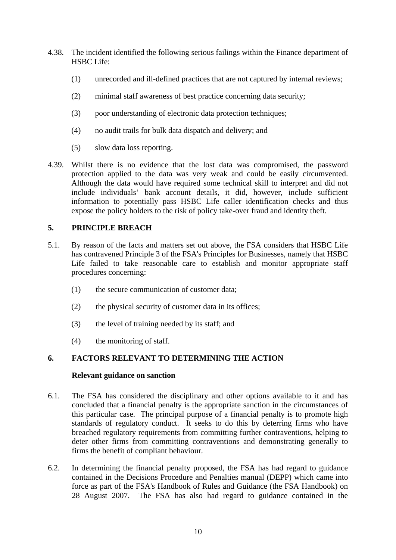- 4.38. The incident identified the following serious failings within the Finance department of HSBC Life:
	- (1) unrecorded and ill-defined practices that are not captured by internal reviews;
	- (2) minimal staff awareness of best practice concerning data security;
	- (3) poor understanding of electronic data protection techniques;
	- (4) no audit trails for bulk data dispatch and delivery; and
	- (5) slow data loss reporting.
- 4.39. Whilst there is no evidence that the lost data was compromised, the password protection applied to the data was very weak and could be easily circumvented. Although the data would have required some technical skill to interpret and did not include individuals' bank account details, it did, however, include sufficient information to potentially pass HSBC Life caller identification checks and thus expose the policy holders to the risk of policy take-over fraud and identity theft.

# **5. PRINCIPLE BREACH**

- 5.1. By reason of the facts and matters set out above, the FSA considers that HSBC Life has contravened Principle 3 of the FSA's Principles for Businesses, namely that HSBC Life failed to take reasonable care to establish and monitor appropriate staff procedures concerning:
	- (1) the secure communication of customer data;
	- (2) the physical security of customer data in its offices;
	- (3) the level of training needed by its staff; and
	- (4) the monitoring of staff.

# **6. FACTORS RELEVANT TO DETERMINING THE ACTION**

#### **Relevant guidance on sanction**

- 6.1. The FSA has considered the disciplinary and other options available to it and has concluded that a financial penalty is the appropriate sanction in the circumstances of this particular case. The principal purpose of a financial penalty is to promote high standards of regulatory conduct. It seeks to do this by deterring firms who have breached regulatory requirements from committing further contraventions, helping to deter other firms from committing contraventions and demonstrating generally to firms the benefit of compliant behaviour.
- 6.2. In determining the financial penalty proposed, the FSA has had regard to guidance contained in the Decisions Procedure and Penalties manual (DEPP) which came into force as part of the FSA's Handbook of Rules and Guidance (the FSA Handbook) on 28 August 2007. The FSA has also had regard to guidance contained in the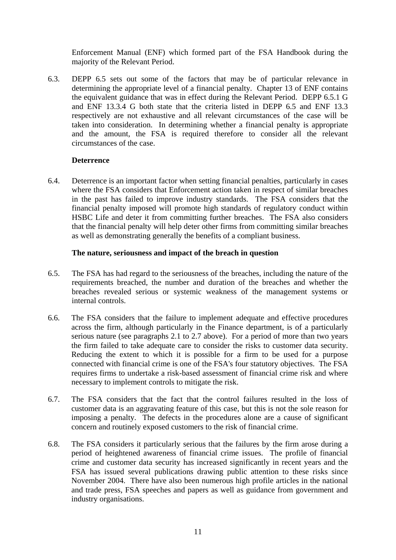Enforcement Manual (ENF) which formed part of the FSA Handbook during the majority of the Relevant Period.

6.3. DEPP 6.5 sets out some of the factors that may be of particular relevance in determining the appropriate level of a financial penalty. Chapter 13 of ENF contains the equivalent guidance that was in effect during the Relevant Period. DEPP 6.5.1 G and ENF 13.3.4 G both state that the criteria listed in DEPP 6.5 and ENF 13.3 respectively are not exhaustive and all relevant circumstances of the case will be taken into consideration. In determining whether a financial penalty is appropriate and the amount, the FSA is required therefore to consider all the relevant circumstances of the case.

### **Deterrence**

6.4. Deterrence is an important factor when setting financial penalties, particularly in cases where the FSA considers that Enforcement action taken in respect of similar breaches in the past has failed to improve industry standards. The FSA considers that the financial penalty imposed will promote high standards of regulatory conduct within HSBC Life and deter it from committing further breaches. The FSA also considers that the financial penalty will help deter other firms from committing similar breaches as well as demonstrating generally the benefits of a compliant business.

### **The nature, seriousness and impact of the breach in question**

- 6.5. The FSA has had regard to the seriousness of the breaches, including the nature of the requirements breached, the number and duration of the breaches and whether the breaches revealed serious or systemic weakness of the management systems or internal controls.
- 6.6. The FSA considers that the failure to implement adequate and effective procedures across the firm, although particularly in the Finance department, is of a particularly serious nature (see paragraphs 2.1 to 2.7 above). For a period of more than two years the firm failed to take adequate care to consider the risks to customer data security. Reducing the extent to which it is possible for a firm to be used for a purpose connected with financial crime is one of the FSA's four statutory objectives. The FSA requires firms to undertake a risk-based assessment of financial crime risk and where necessary to implement controls to mitigate the risk.
- 6.7. The FSA considers that the fact that the control failures resulted in the loss of customer data is an aggravating feature of this case, but this is not the sole reason for imposing a penalty. The defects in the procedures alone are a cause of significant concern and routinely exposed customers to the risk of financial crime.
- 6.8. The FSA considers it particularly serious that the failures by the firm arose during a period of heightened awareness of financial crime issues. The profile of financial crime and customer data security has increased significantly in recent years and the FSA has issued several publications drawing public attention to these risks since November 2004. There have also been numerous high profile articles in the national and trade press, FSA speeches and papers as well as guidance from government and industry organisations.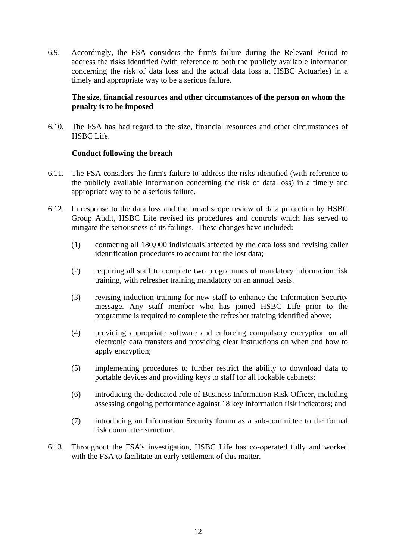6.9. Accordingly, the FSA considers the firm's failure during the Relevant Period to address the risks identified (with reference to both the publicly available information concerning the risk of data loss and the actual data loss at HSBC Actuaries) in a timely and appropriate way to be a serious failure.

### **The size, financial resources and other circumstances of the person on whom the penalty is to be imposed**

6.10. The FSA has had regard to the size, financial resources and other circumstances of HSBC Life.

### **Conduct following the breach**

- 6.11. The FSA considers the firm's failure to address the risks identified (with reference to the publicly available information concerning the risk of data loss) in a timely and appropriate way to be a serious failure.
- 6.12. In response to the data loss and the broad scope review of data protection by HSBC Group Audit, HSBC Life revised its procedures and controls which has served to mitigate the seriousness of its failings. These changes have included:
	- (1) contacting all 180,000 individuals affected by the data loss and revising caller identification procedures to account for the lost data;
	- (2) requiring all staff to complete two programmes of mandatory information risk training, with refresher training mandatory on an annual basis.
	- (3) revising induction training for new staff to enhance the Information Security message. Any staff member who has joined HSBC Life prior to the programme is required to complete the refresher training identified above;
	- (4) providing appropriate software and enforcing compulsory encryption on all electronic data transfers and providing clear instructions on when and how to apply encryption;
	- (5) implementing procedures to further restrict the ability to download data to portable devices and providing keys to staff for all lockable cabinets;
	- (6) introducing the dedicated role of Business Information Risk Officer, including assessing ongoing performance against 18 key information risk indicators; and
	- (7) introducing an Information Security forum as a sub-committee to the formal risk committee structure.
- 6.13. Throughout the FSA's investigation, HSBC Life has co-operated fully and worked with the FSA to facilitate an early settlement of this matter.